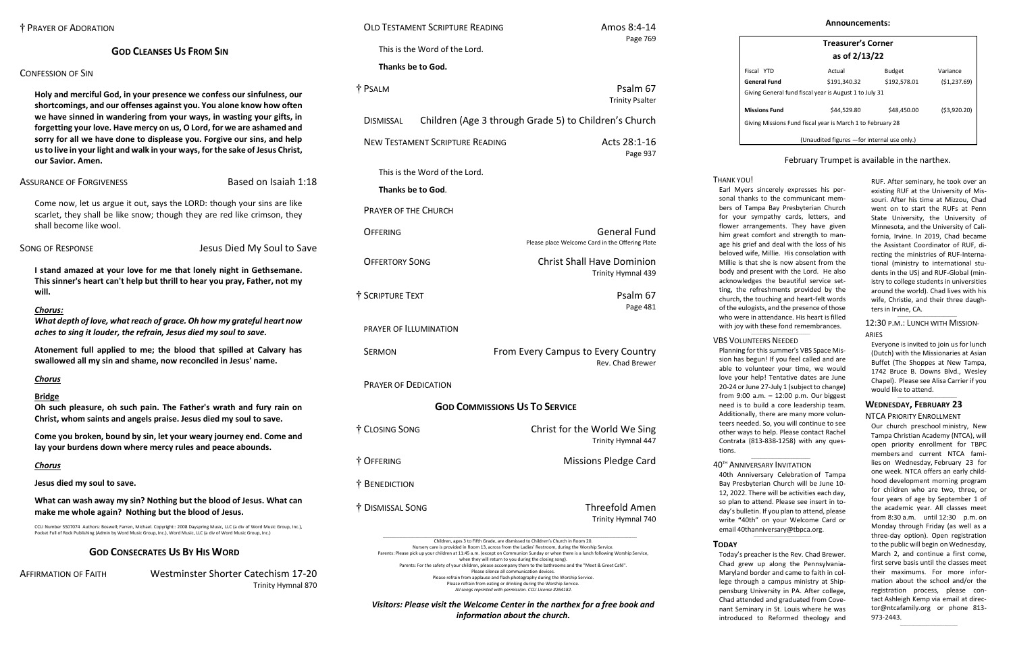# **GOD CLEANSES US FROM SIN**

# CONFESSION OF SIN

**Holy and merciful God, in your presence we confess our sinfulness, our shortcomings, and our offenses against you. You alone know how often we have sinned in wandering from your ways, in wasting your gifts, in forgetting your love. Have mercy on us, O Lord, for we are ashamed and sorry for all we have done to displease you. Forgive our sins, and help us to live in your light and walk in your ways, for the sake of Jesus Christ, our Savior. Amen.**

# ASSURANCE OF FORGIVENESS ASSESSED Based on Isaiah 1:18

Come now, let us argue it out, says the LORD: though your sins are like scarlet, they shall be like snow; though they are red like crimson, they shall become like wool.

SONG OF RESPONSE Jesus Died My Soul to Save

**I stand amazed at your love for me that lonely night in Gethsemane. This sinner's heart can't help but thrill to hear you pray, Father, not my will.** 

# *Chorus:*

*What depth of love, what reach of grace. Oh how my grateful heart now aches to sing it louder, the refrain, Jesus died my soul to save.* 

**Atonement full applied to me; the blood that spilled at Calvary has swallowed all my sin and shame, now reconciled in Jesus' name.** 

# *Chorus*

# **Bridge**

**Oh such pleasure, oh such pain. The Father's wrath and fury rain on Christ, whom saints and angels praise. Jesus died my soul to save.** 

**Come you broken, bound by sin, let your weary journey end. Come and lay your burdens down where mercy rules and peace abounds.** 

# *Chorus*

**Jesus died my soul to save.** 

**What can wash away my sin? Nothing but the blood of Jesus. What can make me whole again? Nothing but the blood of Jesus.** 

CCLI Number 5507074 Authors: Boswell; Farren, Michael. Copyright:: 2008 Dayspring Music, LLC (a div of Word Music Group, Inc.), Pocket Full of Rock Publishing (Admin by Word Music Group, Inc.), Word Music, LLC (a div of Word Music Group, Inc.)

# **GOD CONSECRATES US BY HIS WORD**

AFFIRMATION OF FAITH Westminster Shorter Catechism 17-20 Trinity Hymnal 870

#### $\_$ 12:30 P.M.: LUNCH WITH MISSION-

| <b>OLD TESTAMENT SCRIPTURE READING</b>                                    | Amos 8:4-14                        |
|---------------------------------------------------------------------------|------------------------------------|
| This is the Word of the Lord.                                             | Page 769                           |
| Thanks be to God.                                                         |                                    |
| † PSALM                                                                   | Psalm 67<br><b>Trinity Psalter</b> |
| Children (Age 3 through Grade 5) to Children's Church<br><b>DISMISSAL</b> |                                    |
| <b>NEW TESTAMENT SCRIPTURE READING</b>                                    | Acts 28:1-16<br>Page 937           |
| This is the Word of the Lord.                                             |                                    |
| Thanks be to God.                                                         |                                    |
| <b>PRAYER OF THE CHURCH</b>                                               |                                    |
| <b>OFFERING</b><br>Please place Welcome Card in the Offering Plate        | <b>General Fund</b>                |
| <b>OFFERTORY SONG</b><br><b>Christ Shall Have Dominion</b>                | Trinity Hymnal 439                 |
| † SCRIPTURE TEXT                                                          | Psalm 67<br>Page 481               |
| PRAYER OF ILLUMINATION                                                    |                                    |
| From Every Campus to Every Country<br><b>SERMON</b>                       | Rev. Chad Brewer                   |
| <b>PRAYER OF DEDICATION</b>                                               |                                    |
| <b>GOD COMMISSIONS US TO SERVICE</b>                                      |                                    |
| † CLOSING SONG<br>Christ for the World We Sing                            | Trinity Hymnal 447                 |
| † OFFERING<br><b>Missions Pledge Card</b>                                 |                                    |
| † BENEDICTION                                                             |                                    |
|                                                                           | <b>Threefold Amen</b>              |

Please silence all communication devices. Please refrain from applause and flash photography during the Worship Service. Please refrain from eating or drinking during the Worship Service. *All songs reprinted with permission. CCLI License #264182. Visitors: Please visit the Welcome Center in the narthex for a free book and information about the church.*



| <b>Treasurer's Corner</b>                                  |              |               |                |  |  |
|------------------------------------------------------------|--------------|---------------|----------------|--|--|
| as of 2/13/22                                              |              |               |                |  |  |
| Fiscal YTD                                                 | Actual       | <b>Budget</b> | Variance       |  |  |
| General Fund                                               | \$191,340.32 | \$192,578.01  | ( \$1, 237.69) |  |  |
| Giving General fund fiscal year is August 1 to July 31     |              |               |                |  |  |
| <b>Missions Fund</b>                                       | \$44,529.80  | \$48,450.00   | (53,920.20)    |  |  |
| Giving Missions Fund fiscal year is March 1 to February 28 |              |               |                |  |  |
| (Unaudited figures - for internal use only.)               |              |               |                |  |  |

# February Trumpet is available in the narthex.

RUF. After seminary, he took over an existing RUF at the University of Missouri. After his time at Mizzou, Chad went on to start the RUFs at Penn State University, the University of Minnesota, and the University of California, Irvine. In 2019, Chad became the Assistant Coordinator of RUF, directing the ministries of RUF-International (ministry to international students in the US) and RUF-Global (ministry to college students in universities around the world). Chad lives with his wife, Christie, and their three daughters in Irvine, CA.

## ARIES

Everyone is invited to join us for lunch (Dutch) with the Missionaries at Asian Buffet (The Shoppes at New Tampa, 1742 Bruce B. Downs Blvd., Wesley Chapel). Please see Alisa Carrier if you would like to attend.

 $\_$ 

# **WEDNESDAY, FEBRUARY 23**

## NTCA PRIORITY ENROLLMENT

Our church preschool ministry, New Tampa Christian Academy (NTCA), will open priority enrollment for TBPC members and current NTCA families on Wednesday, February 23 for one week. NTCA offers an early childhood development morning program for children who are two, three, or four years of age by September 1 of the academic year. All classes meet from 8:30 a.m. until 12:30 p.m. on Monday through Friday (as well as a three-day option). Open registration to the public will begin on Wednesday, March 2, and continue a first come, first serve basis until the classes meet their maximums. For more information about the school and/or the registration process, please contact Ashleigh Kemp via email at [direc](mailto:director@ntcafamily.org)[tor@ntcafamily.org](mailto:director@ntcafamily.org) or phone 813- 973-2443.

 $\_$ 

THANK YOU! Earl Myers sincerely expresses his personal thanks to the communicant members of Tampa Bay Presbyterian Church for your sympathy cards, letters, and flower arrangements. They have given him great comfort and strength to manage his grief and deal with the loss of his beloved wife, Millie. His consolation with Millie is that she is now absent from the body and present with the Lord. He also acknowledges the beautiful service setting, the refreshments provided by the church, the touching and heart-felt words of the eulogists, and the presence of those who were in attendance. His heart is filled with joy with these fond remembrances.

## VBS VOLUNTEERS NEEDED

 $\_$ 

Planning for this summer's VBS Space Mission has begun! If you feel called and are able to volunteer your time, we would love your help! Tentative dates are June 20-24 or June 27-July 1 (subject to change) from 9:00 a.m. – 12:00 p.m. Our biggest need is to build a core leadership team. Additionally, there are many more volunteers needed. So, you will continue to see other ways to help. Please contact Rachel Contrata (813-838-1258) with any questions.

#### \_\_\_\_\_\_\_\_\_\_\_\_\_\_\_\_\_\_\_\_\_\_\_\_\_\_\_\_\_\_\_\_\_\_\_\_ 40TH ANNIVERSARY INVITATION

40th Anniversary Celebration of Tampa Bay Presbyterian Church will be June 10- 12, 2022. There will be activities each day, so plan to attend. Please see insert in today's bulletin. If you plan to attend, please write **"**40th" on your Welcome Card or emai[l 40thanniversary@tbpca.org.](mailto:40thanniversary@tbpca.org)

 $\_$ 

# **TODAY**

Today's preacher is the Rev. Chad Brewer. Chad grew up along the Pennsylvania-Maryland border and came to faith in college through a campus ministry at Shippensburg University in PA. After college, Chad attended and graduated from Covenant Seminary in St. Louis where he was introduced to Reformed theology and